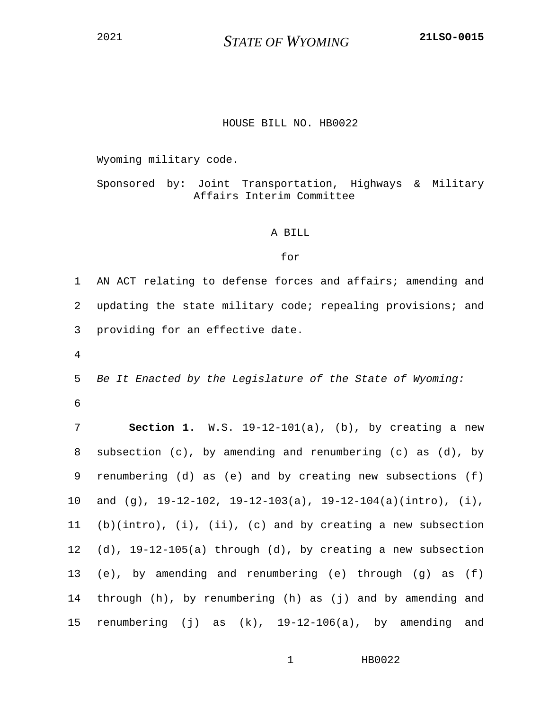<sup>2021</sup> *STATE OF WYOMING* **21LSO-0015**

## HOUSE BILL NO. HB0022

Wyoming military code.

Sponsored by: Joint Transportation, Highways & Military Affairs Interim Committee

## A BILL

## for

1 AN ACT relating to defense forces and affairs; amending and 2 updating the state military code; repealing provisions; and 3 providing for an effective date.

4

5 *Be It Enacted by the Legislature of the State of Wyoming:* 6

7 **Section 1.** W.S. 19-12-101(a), (b), by creating a new 8 subsection (c), by amending and renumbering (c) as (d), by 9 renumbering (d) as (e) and by creating new subsections (f) 10 and (g), 19-12-102, 19-12-103(a), 19-12-104(a)(intro), (i), 11 (b)(intro), (i), (ii), (c) and by creating a new subsection 12 (d), 19-12-105(a) through (d), by creating a new subsection 13 (e), by amending and renumbering (e) through (g) as (f) 14 through (h), by renumbering (h) as (j) and by amending and 15 renumbering (j) as (k), 19-12-106(a), by amending and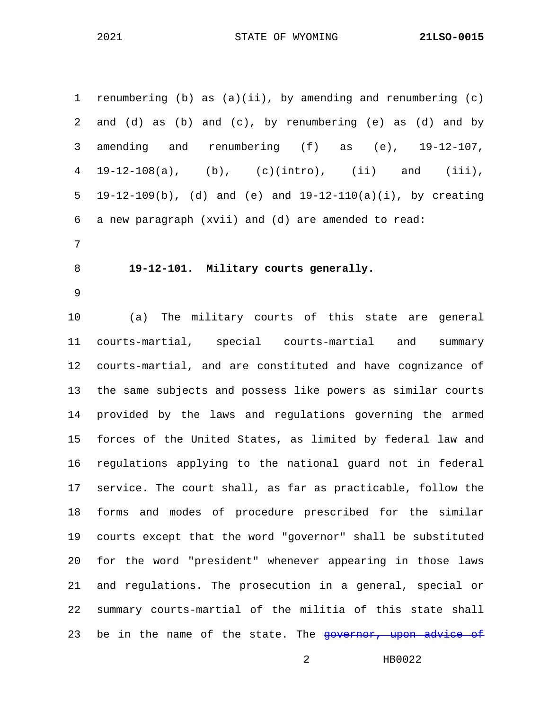| $\mathbf 1$ | renumbering (b) as $(a)(ii)$ , by amending and renumbering $(c)$ |
|-------------|------------------------------------------------------------------|
| 2           | and (d) as (b) and (c), by renumbering (e) as (d) and by         |
| 3           | amending and renumbering $(f)$ as $(e)$ , 19-12-107,             |
| 4           | $19-12-108(a)$ , (b), (c)(intro), (ii) and (iii),                |
| 5           | $19-12-109(b)$ , (d) and (e) and $19-12-110(a)(i)$ , by creating |
| 6           | a new paragraph (xvii) and (d) are amended to read:              |
| 7           |                                                                  |
| 8           | 19-12-101. Military courts generally.                            |
| 9           |                                                                  |
| 10          | (a) The military courts of this state are general                |
| 11          | courts-martial, special courts-martial and<br>summary            |
| 12          | courts-martial, and are constituted and have cognizance of       |
| 13          | the same subjects and possess like powers as similar courts      |
| 14          | provided by the laws and regulations governing the armed         |
| 15          | forces of the United States, as limited by federal law and       |
| 16          | regulations applying to the national guard not in federal        |
| 17          | service. The court shall, as far as practicable, follow the      |
| 18          | forms and modes of procedure prescribed for the similar          |
| 19          | courts except that the word "governor" shall be substituted      |
| 20          | for the word "president" whenever appearing in those laws        |
| 21          | and regulations. The prosecution in a general, special or        |
| 22          | summary courts-martial of the militia of this state shall        |
| 23          | be in the name of the state. The governor, upon advice of        |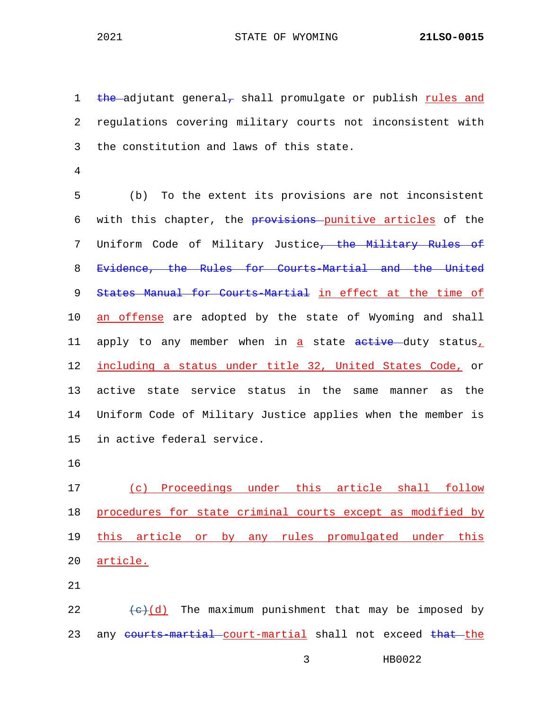1 the adjutant general, shall promulgate or publish rules and 2 regulations covering military courts not inconsistent with 3 the constitution and laws of this state.

4

5 (b) To the extent its provisions are not inconsistent 6 with this chapter, the provisions punitive articles of the 7 Uniform Code of Military Justice<del>, the Military Rules of</del> 8 Evidence, the Rules for Courts-Martial and the United 9 States Manual for Courts-Martial in effect at the time of 10 an offense are adopted by the state of Wyoming and shall 11 apply to any member when in a state active duty status, 12 including a status under title 32, United States Code, or 13 active state service status in the same manner as the 14 Uniform Code of Military Justice applies when the member is 15 in active federal service.

16

17 (c) Proceedings under this article shall follow 18 procedures for state criminal courts except as modified by 19 this article or by any rules promulgated under this 20 article.

21

22  $\leftarrow$  (d) The maximum punishment that may be imposed by 23 any courts-martial court-martial shall not exceed that the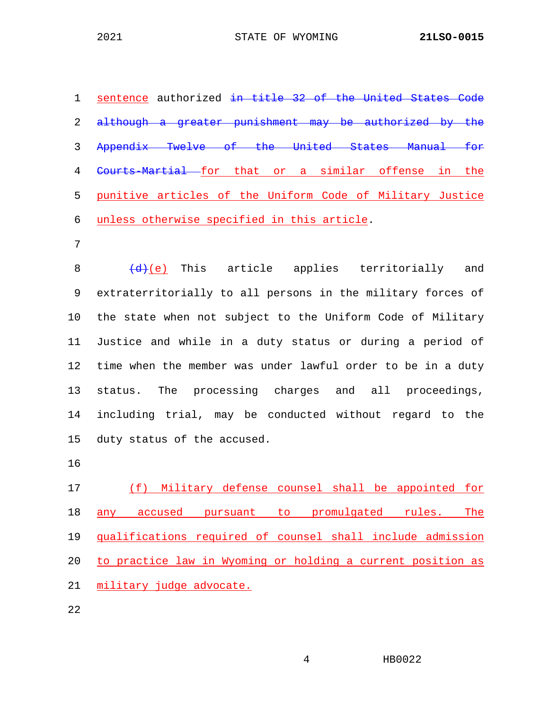sentence authorized in title 32 of the United States Code 2 although a greater punishment may be authorized by the Appendix Twelve of the United States Manual for 4 Courts-Martial for that or a similar offense in the punitive articles of the Uniform Code of Military Justice unless otherwise specified in this article.

7

8  $\left(\frac{d}{e}\right)$  This article applies territorially and 9 extraterritorially to all persons in the military forces of 10 the state when not subject to the Uniform Code of Military 11 Justice and while in a duty status or during a period of 12 time when the member was under lawful order to be in a duty 13 status. The processing charges and all proceedings, 14 including trial, may be conducted without regard to the 15 duty status of the accused.

16

 (f) Military defense counsel shall be appointed for 18 any accused pursuant to promulgated rules. The qualifications required of counsel shall include admission to practice law in Wyoming or holding a current position as military judge advocate.

22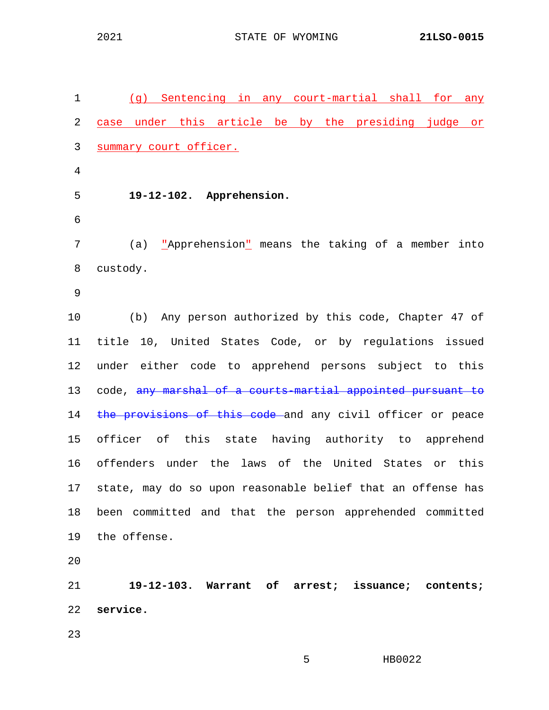1 (g) Sentencing in any court-martial shall for any 2 case under this article be by the presiding judge or 3 summary court officer. 4 5 **19-12-102. Apprehension.** 6 7 (a) <u>"Apprehension"</u> means the taking of a member into 8 custody. 9 10 (b) Any person authorized by this code, Chapter 47 of 11 title 10, United States Code, or by regulations issued 12 under either code to apprehend persons subject to this 13 code, any marshal of a courts-martial appointed pursuant to 14 the provisions of this code and any civil officer or peace 15 officer of this state having authority to apprehend 16 offenders under the laws of the United States or this 17 state, may do so upon reasonable belief that an offense has 18 been committed and that the person apprehended committed 19 the offense. 20 21 **19-12-103. Warrant of arrest; issuance; contents;**  22 **service.** 23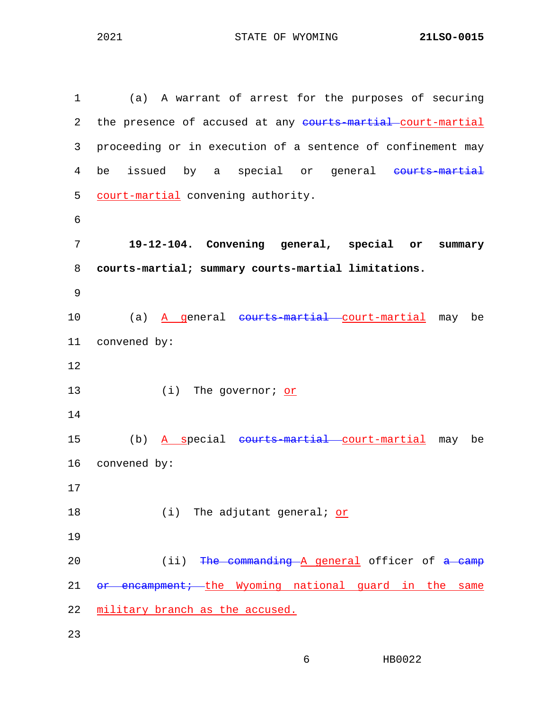1 (a) A warrant of arrest for the purposes of securing 2 the presence of accused at any courts-martial-court-martial 3 proceeding or in execution of a sentence of confinement may 4 be issued by a special or general courts-martial 5 court-martial convening authority. 6 7 **19-12-104. Convening general, special or summary**  8 **courts-martial; summary courts-martial limitations.** 9 10 (a) A general courts-martial court-martial may be 11 convened by: 12 13 (i) The governor; or 14 15 (b) A special courts-martial court-martial may be 16 convened by: 17 18 (i) The adjutant general; or 19 20 (ii) The commanding A general officer of a camp 21 or encampment; the Wyoming national guard in the same 22 military branch as the accused. 23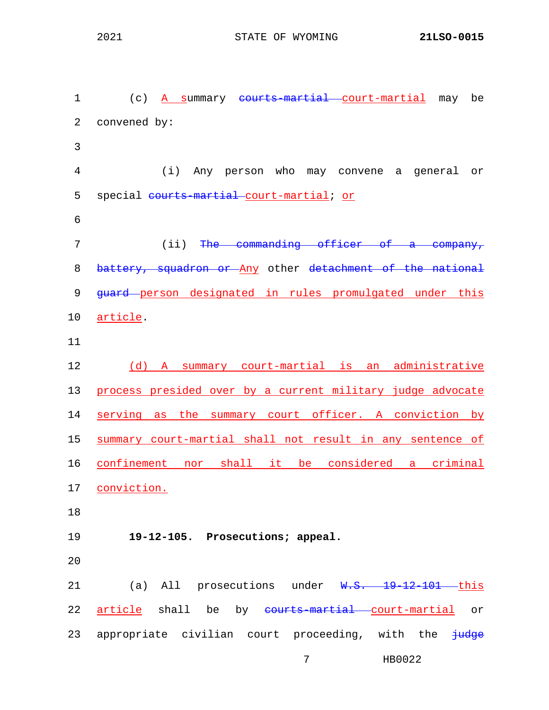1 (c) A summary courts-martial court-martial may be 2 convened by: 3 4 (i) Any person who may convene a general or 5 special courts-martial-court-martial; or 6 7 (ii) The commanding officer of a company, 8 battery, squadron or Any other detachment of the national 9 <del>quard p</del>erson designated in rules promulgated under this 10 article. 11 12 (d) A summary court-martial is an administrative 13 process presided over by a current military judge advocate 14 serving as the summary court officer. A conviction by 15 summary court-martial shall not result in any sentence of 16 confinement nor shall it be considered a criminal 17 conviction. 18 19 **19-12-105. Prosecutions; appeal.** 20 21 (a) All prosecutions under W.S. 19-12-101 this 22 article shall be by courts-martial court-martial or 23 appropriate civilian court proceeding, with the  $\frac{1}{100}$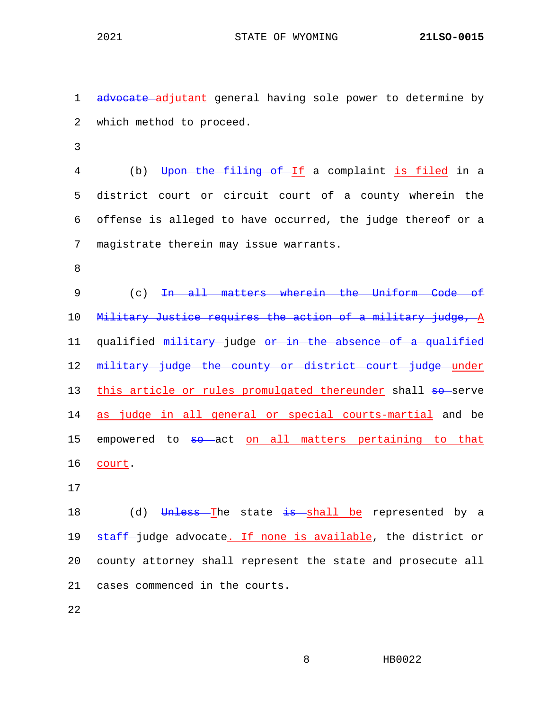1 advocate adjutant general having sole power to determine by 2 which method to proceed.

3

4 (b) Upon the filing of If a complaint is filed in a 5 district court or circuit court of a county wherein the 6 offense is alleged to have occurred, the judge thereof or a 7 magistrate therein may issue warrants.

8

9 (c) In all matters wherein the Uniform Code of 10 Military Justice requires the action of a military judge, A 11 qualified military judge or in the absence of a qualified 12 military judge the county or district court judge under 13 this article or rules promulgated thereunder shall so-serve 14 as judge in all general or special courts-martial and be 15 empowered to so act on all matters pertaining to that 16 court.

17

18 (d) Unless The state is shall be represented by a 19 staff-judge advocate. If none is available, the district or 20 county attorney shall represent the state and prosecute all 21 cases commenced in the courts.

22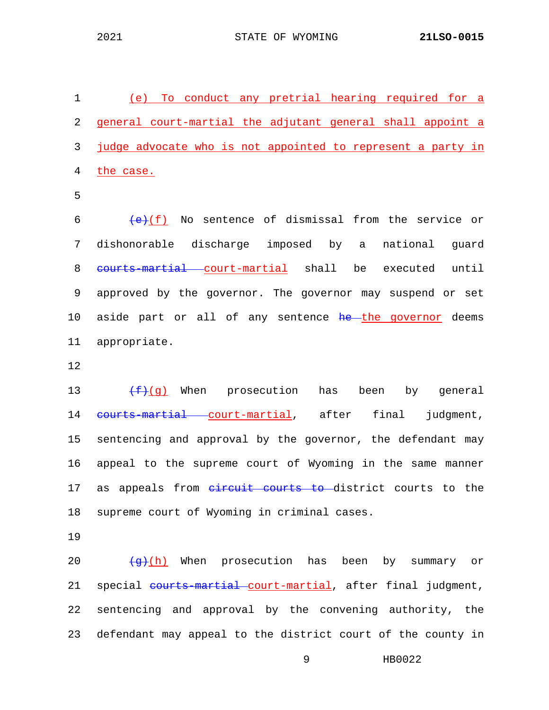1 (e) To conduct any pretrial hearing required for a 2 general court-martial the adjutant general shall appoint a 3 judge advocate who is not appointed to represent a party in 4 the case.

5

 $6$  (e)(f) No sentence of dismissal from the service or 7 dishonorable discharge imposed by a national guard 8 <del>courts-martial</del> court-martial shall be executed until 9 approved by the governor. The governor may suspend or set 10 aside part or all of any sentence he the governor deems 11 appropriate.

12

13  $\leftarrow$   $\leftarrow$  (g) When prosecution has been by general 14 courts-martial court-martial, after final judgment, 15 sentencing and approval by the governor, the defendant may 16 appeal to the supreme court of Wyoming in the same manner 17 as appeals from eircuit courts to district courts to the 18 supreme court of Wyoming in criminal cases.

19

20  $\frac{1}{9}(h)$  When prosecution has been by summary or 21 special courts-martial court-martial, after final judgment, 22 sentencing and approval by the convening authority, the 23 defendant may appeal to the district court of the county in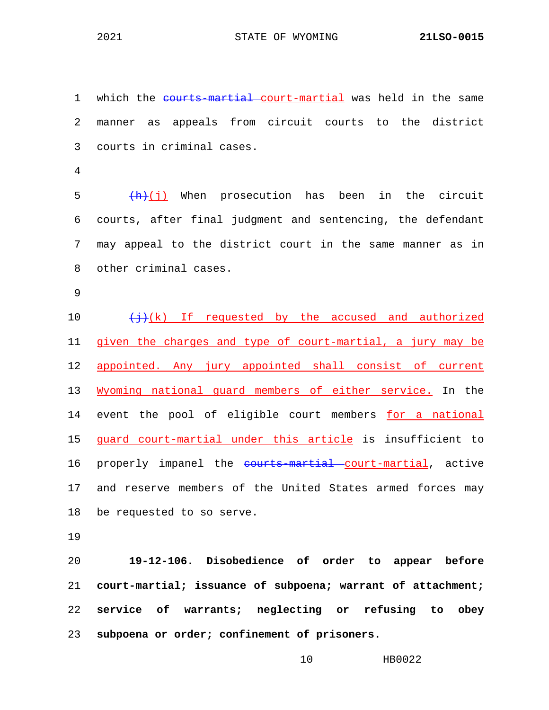1 which the courts-martial court-martial was held in the same 2 manner as appeals from circuit courts to the district 3 courts in criminal cases.

4

5  $(\frac{h}{h})(i)$  When prosecution has been in the circuit 6 courts, after final judgment and sentencing, the defendant 7 may appeal to the district court in the same manner as in 8 other criminal cases.

9

10  $\leftarrow$   $\leftarrow$   $\leftarrow$  (k) If requested by the accused and authorized 11 given the charges and type of court-martial, a jury may be 12 appointed. Any jury appointed shall consist of current 13 Wyoming national guard members of either service. In the 14 event the pool of eligible court members for a national 15 guard court-martial under this article is insufficient to 16 properly impanel the courts-martial court-martial, active 17 and reserve members of the United States armed forces may 18 be requested to so serve.

19

 **19-12-106. Disobedience of order to appear before court-martial; issuance of subpoena; warrant of attachment; service of warrants; neglecting or refusing to obey subpoena or order; confinement of prisoners.**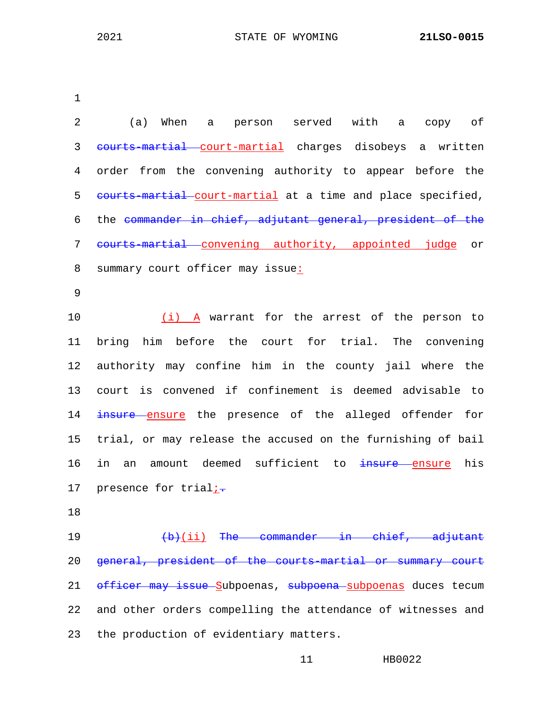| 2  | person served with a copy of<br>(a)<br>When a                |
|----|--------------------------------------------------------------|
| 3  | eourts-martial court-martial charges disobeys a written      |
| 4  | order from the convening authority to appear before the      |
| 5  | eourts-martial court-martial at a time and place specified,  |
| 6  | the commander in chief, adjutant general, president of the   |
| 7  | eourts-martial convening authority, appointed judge or       |
| 8  | summary court officer may issue:                             |
| 9  |                                                              |
| 10 | (i) A warrant for the arrest of the person to                |
| 11 | bring him before the court for trial.<br>The convening       |
| 12 | authority may confine him in the county jail where the       |
| 13 | court is convened if confinement is deemed advisable to      |
| 14 | insure ensure the presence of the alleged offender for       |
| 15 | trial, or may release the accused on the furnishing of bail  |
| 16 | amount deemed sufficient to insure ensure<br>in<br>his<br>an |
| 17 | presence for trial;-                                         |
| 18 |                                                              |
| 19 | $(b)$ (ii) The commander in chief, adjutant                  |
| 20 | general, president of the courts-martial or summary court    |
| 21 | officer may issue Subpoenas, subpoena subpoenas duces tecum  |
| 22 | and other orders compelling the attendance of witnesses and  |

23 the production of evidentiary matters.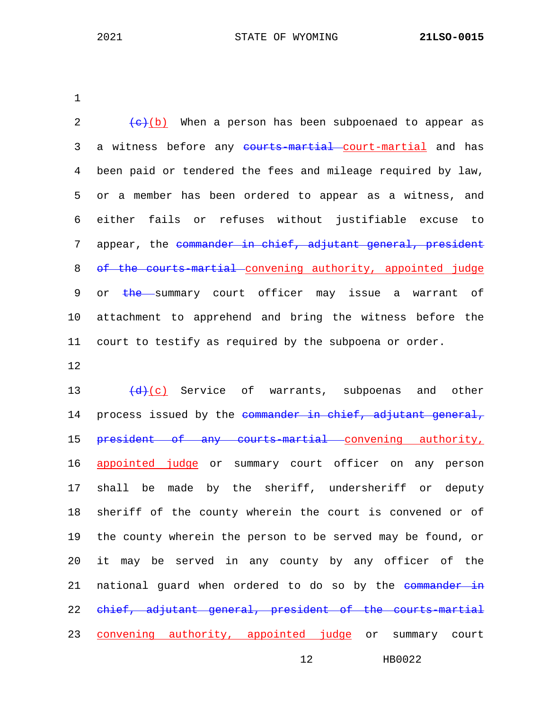2  $\left(\frac{e}{c}\right)$  When a person has been subpoenaed to appear as 3 a witness before any courts-martial court-martial and has 4 been paid or tendered the fees and mileage required by law, 5 or a member has been ordered to appear as a witness, and 6 either fails or refuses without justifiable excuse to 7 appear, the commander in chief, adjutant general, president 8 of the courts-martial convening authority, appointed judge 9 or the summary court officer may issue a warrant of 10 attachment to apprehend and bring the witness before the 11 court to testify as required by the subpoena or order.

12

13  $\left(\frac{d}{d}(c)\right)$  Service of warrants, subpoenas and other 14 process issued by the commander in chief, adjutant general, 15 president of any courts-martial convening authority, 16 appointed judge or summary court officer on any person 17 shall be made by the sheriff, undersheriff or deputy 18 sheriff of the county wherein the court is convened or of 19 the county wherein the person to be served may be found, or 20 it may be served in any county by any officer of the 21 national guard when ordered to do so by the commander in 22 chief, adjutant general, president of the courts-martial 23 convening authority, appointed judge or summary court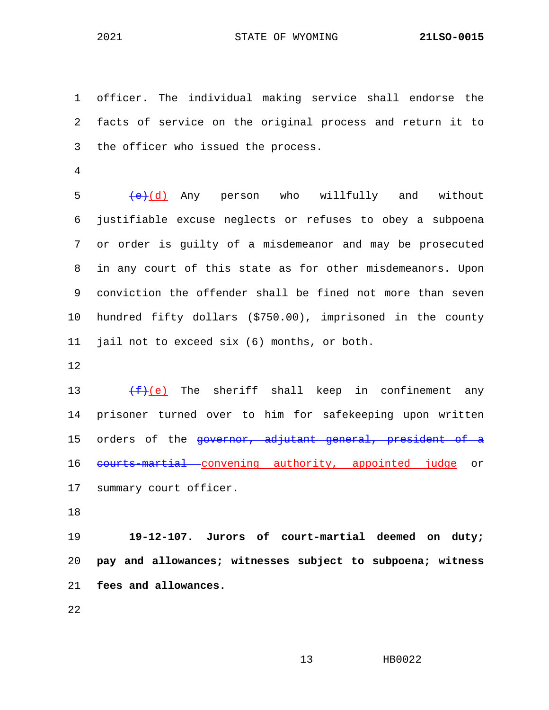1 officer. The individual making service shall endorse the 2 facts of service on the original process and return it to 3 the officer who issued the process.

4

 $5$   $\left(\frac{e}{d}\right)$  Any person who willfully and without 6 justifiable excuse neglects or refuses to obey a subpoena 7 or order is guilty of a misdemeanor and may be prosecuted 8 in any court of this state as for other misdemeanors. Upon 9 conviction the offender shall be fined not more than seven 10 hundred fifty dollars (\$750.00), imprisoned in the county 11 jail not to exceed six (6) months, or both.

12

13  $(f)(e)$  The sheriff shall keep in confinement any 14 prisoner turned over to him for safekeeping upon written 15 orders of the governor, adjutant general, president of a 16 courts-martial convening authority, appointed judge or 17 summary court officer.

18

19 **19-12-107. Jurors of court-martial deemed on duty;**  20 **pay and allowances; witnesses subject to subpoena; witness**  21 **fees and allowances.**

22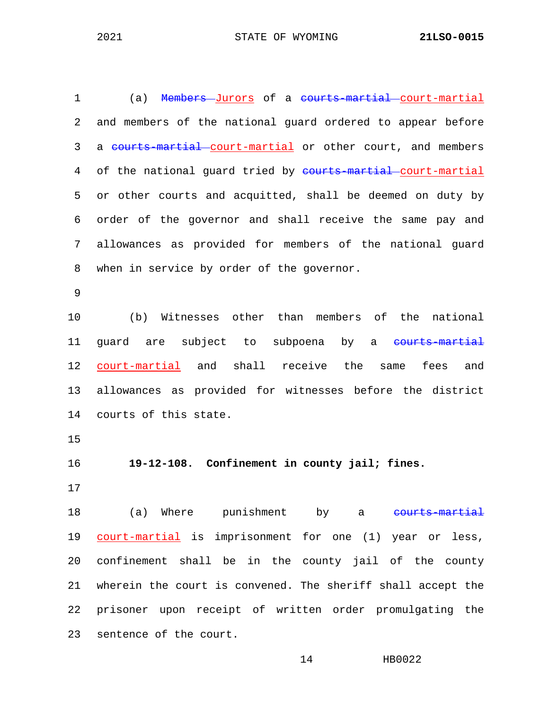| $\mathbf 1$     | (a) Members-Jurors of a courts-martial-court-martial        |
|-----------------|-------------------------------------------------------------|
| 2               | and members of the national guard ordered to appear before  |
| 3               | a courts-martial court-martial or other court, and members  |
| 4               | of the national guard tried by courts martial court-martial |
| 5               | or other courts and acquitted, shall be deemed on duty by   |
| 6               | order of the governor and shall receive the same pay and    |
| 7               | allowances as provided for members of the national quard    |
| 8               | when in service by order of the governor.                   |
| 9               |                                                             |
| 10              | (b) Witnesses other than members of the national            |
| 11              | guard are subject to subpoena by a courts-martial           |
| 12              | court-martial and shall receive the same fees and           |
| 13 <sup>°</sup> | allowances as provided for witnesses before the district    |
| 14              | courts of this state.                                       |

16 **19-12-108. Confinement in county jail; fines.**

17

18 (a) Where punishment by a courts-martial 19 court-martial is imprisonment for one (1) year or less, 20 confinement shall be in the county jail of the county 21 wherein the court is convened. The sheriff shall accept the 22 prisoner upon receipt of written order promulgating the 23 sentence of the court.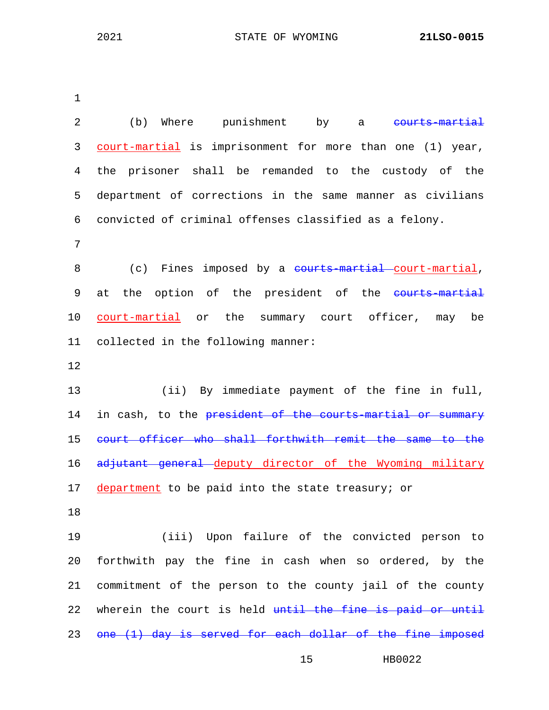| 2  | (b) Where punishment<br>by<br>courts-martial<br>a                |
|----|------------------------------------------------------------------|
| 3  | court-martial is imprisonment for more than one (1) year,        |
| 4  | prisoner shall be remanded to the custody of the<br>the          |
| 5  | department of corrections in the same manner as civilians        |
| 6  | convicted of criminal offenses classified as a felony.           |
| 7  |                                                                  |
| 8  | (c) Fines imposed by a <del>courts martial court martial</del> , |
| 9  | the option of the president of the courts-martial<br>at          |
| 10 | court-martial or the summary court officer, may be               |
| 11 | collected in the following manner:                               |
| 12 |                                                                  |
| 13 | (ii) By immediate payment of the fine in full,                   |
| 14 | in cash, to the president of the courts martial or summary       |
| 15 | court officer who shall forthwith remit the same to the          |
| 16 | adjutant general deputy director of the Wyoming military         |
| 17 | department to be paid into the state treasury; or                |
| 18 |                                                                  |
| 19 | (iii) Upon failure of the convicted person to                    |
| 20 | forthwith pay the fine in cash when so ordered, by the           |
| 21 | commitment of the person to the county jail of the county        |
| 22 | wherein the court is held until the fine is paid or until        |
| 23 | one (1) day is served for each dollar of the fine imposed        |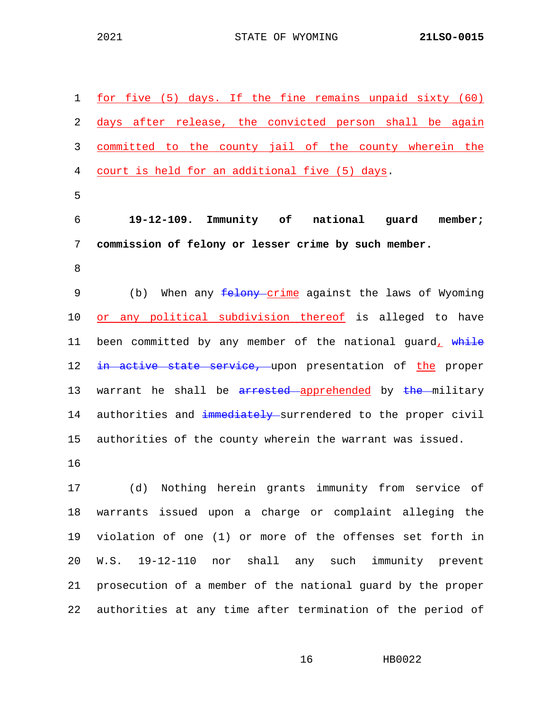| 1  | for five (5) days. If the fine remains unpaid sixty (60)        |
|----|-----------------------------------------------------------------|
| 2  | days after release, the convicted person shall be again         |
| 3  | committed to the county jail of the county wherein the          |
| 4  | court is held for an additional five (5) days.                  |
| 5  |                                                                 |
| 6  | 19-12-109. Immunity of national guard<br>member;                |
| 7  | commission of felony or lesser crime by such member.            |
| 8  |                                                                 |
| 9  | When any <i>felony</i> crime against the laws of Wyoming<br>(b) |
| 10 | or any political subdivision thereof is alleged to have         |
| 11 | been committed by any member of the national guard, while       |
| 12 | in active state service, upon presentation of the proper        |
| 13 | warrant he shall be arrested apprehended by the military        |
| 14 | authorities and immediately surrendered to the proper civil     |
| 15 | authorities of the county wherein the warrant was issued.       |
| 16 |                                                                 |
|    |                                                                 |

17 (d) Nothing herein grants immunity from service of 18 warrants issued upon a charge or complaint alleging the 19 violation of one (1) or more of the offenses set forth in 20 W.S. 19-12-110 nor shall any such immunity prevent 21 prosecution of a member of the national guard by the proper 22 authorities at any time after termination of the period of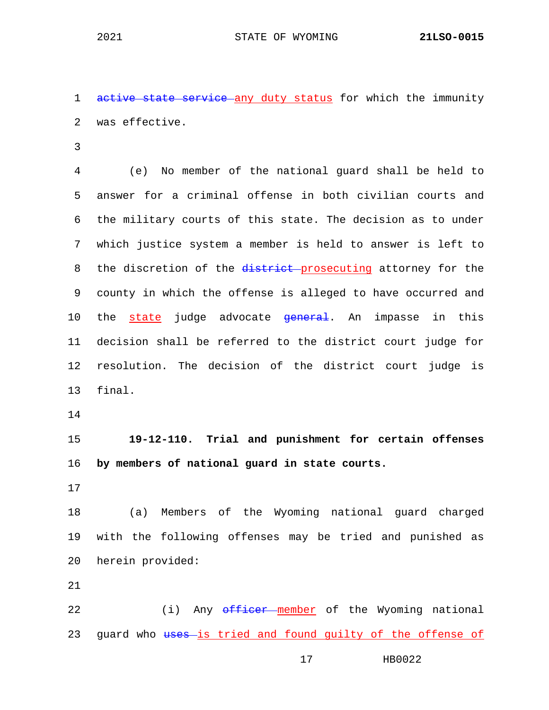1 active state service any duty status for which the immunity 2 was effective.

3

4 (e) No member of the national guard shall be held to 5 answer for a criminal offense in both civilian courts and 6 the military courts of this state. The decision as to under 7 which justice system a member is held to answer is left to 8 the discretion of the district-prosecuting attorney for the 9 county in which the offense is alleged to have occurred and 10 the state judge advocate <del>general</del>. An impasse in this 11 decision shall be referred to the district court judge for 12 resolution. The decision of the district court judge is 13 final.

14

15 **19-12-110. Trial and punishment for certain offenses**  16 **by members of national guard in state courts.**

17

18 (a) Members of the Wyoming national guard charged 19 with the following offenses may be tried and punished as 20 herein provided:

21

22 (i) Any officer member of the Wyoming national 23 guard who uses-is tried and found guilty of the offense of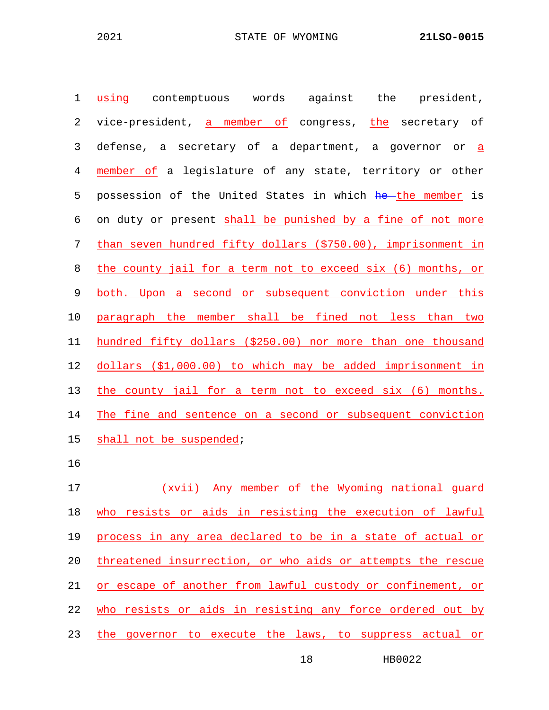| $\mathbf 1$    | the<br>president,<br>using<br>contemptuous words<br>against  |
|----------------|--------------------------------------------------------------|
| 2              | vice-president, a member of congress, the secretary of       |
| 3              | defense, a secretary of a department, a governor or a        |
| $\overline{4}$ | member of a legislature of any state, territory or other     |
| 5              | possession of the United States in which he the member is    |
| 6              | on duty or present shall be punished by a fine of not more   |
| $\overline{7}$ | than seven hundred fifty dollars (\$750.00), imprisonment in |
| 8              | the county jail for a term not to exceed six (6) months, or  |
| 9              | both. Upon a second or subsequent conviction under this      |
| 10             | paragraph the member shall be fined not less than two        |
| 11             | hundred fifty dollars (\$250.00) nor more than one thousand  |
| 12             | dollars (\$1,000.00) to which may be added imprisonment in   |
| 13             | the county jail for a term not to exceed six (6) months.     |
| 14             | The fine and sentence on a second or subsequent conviction   |
| 15             | shall not be suspended;                                      |
| 16             |                                                              |
| 17             | (xvii) Any member of the Wyoming national guard              |
| 18             | who resists or aids in resisting the execution of lawful     |
| 19             | process in any area declared to be in a state of actual or   |

20 threatened insurrection, or who aids or attempts the rescue or escape of another from lawful custody or confinement, or 22 who resists or aids in resisting any force ordered out by

23 the governor to execute the laws, to suppress actual or